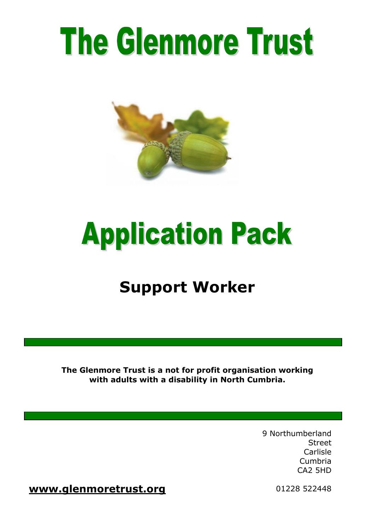# The Glenmore Trust



## **Application Pack**

## **Support Worker**

**The Glenmore Trust is a not for profit organisation working with adults with a disability in North Cumbria.**

> 9 Northumberland Street Carlisle Cumbria CA2 5HD

**[www.glenmoretrust.org](http://www.glenmoretrust.org/)** 01228 522448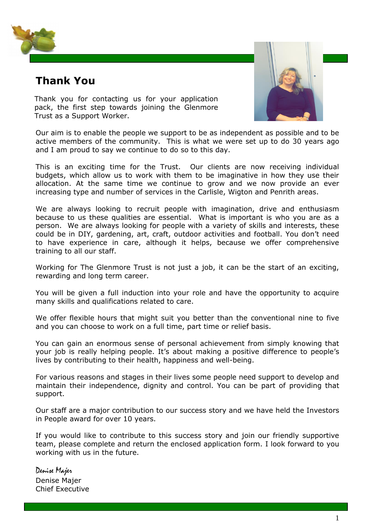

## **Thank You**

Thank you for contacting us for your application pack, the first step towards joining the Glenmore Trust as a Support Worker.



Our aim is to enable the people we support to be as independent as possible and to be active members of the community. This is what we were set up to do 30 years ago and I am proud to say we continue to do so to this day.

This is an exciting time for the Trust. Our clients are now receiving individual budgets, which allow us to work with them to be imaginative in how they use their allocation. At the same time we continue to grow and we now provide an ever increasing type and number of services in the Carlisle, Wigton and Penrith areas.

We are always looking to recruit people with imagination, drive and enthusiasm because to us these qualities are essential. What is important is who you are as a person. We are always looking for people with a variety of skills and interests, these could be in DIY, gardening, art, craft, outdoor activities and football. You don't need to have experience in care, although it helps, because we offer comprehensive training to all our staff.

Working for The Glenmore Trust is not just a job, it can be the start of an exciting, rewarding and long term career.

You will be given a full induction into your role and have the opportunity to acquire many skills and qualifications related to care.

We offer flexible hours that might suit you better than the conventional nine to five and you can choose to work on a full time, part time or relief basis.

You can gain an enormous sense of personal achievement from simply knowing that your job is really helping people. It's about making a positive difference to people's lives by contributing to their health, happiness and well-being.

For various reasons and stages in their lives some people need support to develop and maintain their independence, dignity and control. You can be part of providing that support.

Our staff are a major contribution to our success story and we have held the Investors in People award for over 10 years.

If you would like to contribute to this success story and join our friendly supportive team, please complete and return the enclosed application form. I look forward to you working with us in the future.

Denise Majer Denise Majer Chief Executive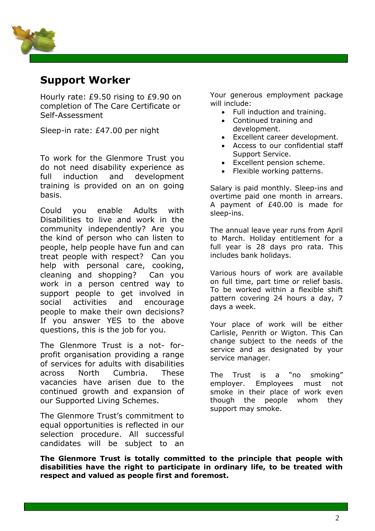

### **Support Worker**

Hourly rate: £9.50 rising to £9.90 on completion of The Care Certificate or Self-Assessment

Sleep-in rate: £47.00 per night

To work for the Glenmore Trust you do not need disability experience as full induction and development training is provided on an on going basis.

Could you enable Adults with Disabilities to live and work in the community independently? Are you the kind of person who can listen to people, help people have fun and can treat people with respect? Can you help with personal care, cooking, cleaning and shopping? Can you work in a person centred way to support people to get involved in social activities and encourage people to make their own decisions? If you answer YES to the above questions, this is the job for you.

The Glenmore Trust is a not- forprofit organisation providing a range of services for adults with disabilities across North Cumbria. These vacancies have arisen due to the continued growth and expansion of our Supported Living Schemes.

The Glenmore Trust's commitment to equal opportunities is reflected in our selection procedure. All successful candidates will be subject to an Your generous employment package will include:

- Full induction and training.
- Continued training and development.
- Excellent career development.
- Access to our confidential staff Support Service.
- Excellent pension scheme.
- Flexible working patterns.

Salary is paid monthly. Sleep-ins and overtime paid one month in arrears. A payment of £40.00 is made for sleep-ins.

The annual leave year runs from April to March. Holiday entitlement for a full year is 28 days pro rata. This includes bank holidays.

Various hours of work are available on full time, part time or relief basis. To be worked within a flexible shift pattern covering 24 hours a day, 7 days a week.

Your place of work will be either Carlisle, Penrith or Wigton. This Can change subject to the needs of the service and as designated by your service manager.

The Trust is a "no smoking" employer. Employees must not smoke in their place of work even though the people whom they support may smoke.

enhanced DBS disclosure. **The Glenmore Trust is totally committed to the principle that people with disabilities have the right to participate in ordinary life, to be treated with respect and valued as people first and foremost.**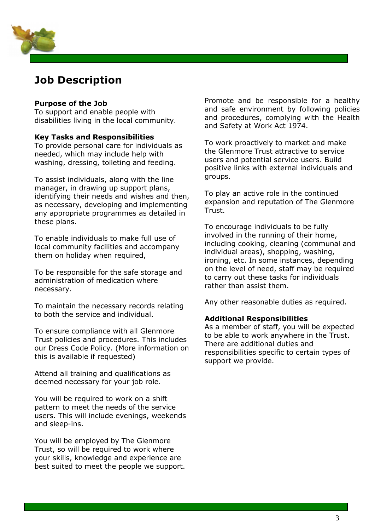

## **Job Description**

#### **Purpose of the Job**

To support and enable people with disabilities living in the local community.

#### **Key Tasks and Responsibilities**

To provide personal care for individuals as needed, which may include help with washing, dressing, toileting and feeding.

To assist individuals, along with the line manager, in drawing up support plans, identifying their needs and wishes and then, as necessary, developing and implementing any appropriate programmes as detailed in these plans.

To enable individuals to make full use of local community facilities and accompany them on holiday when required,

To be responsible for the safe storage and administration of medication where necessary.

To maintain the necessary records relating to both the service and individual.

To ensure compliance with all Glenmore Trust policies and procedures. This includes our Dress Code Policy. (More information on this is available if requested)

Attend all training and qualifications as deemed necessary for your job role.

You will be required to work on a shift pattern to meet the needs of the service users. This will include evenings, weekends and sleep-ins.

You will be employed by The Glenmore Trust, so will be required to work where your skills, knowledge and experience are best suited to meet the people we support.

Promote and be responsible for a healthy and safe environment by following policies and procedures, complying with the Health and Safety at Work Act 1974.

To work proactively to market and make the Glenmore Trust attractive to service users and potential service users. Build positive links with external individuals and groups.

To play an active role in the continued expansion and reputation of The Glenmore Trust.

To encourage individuals to be fully involved in the running of their home, including cooking, cleaning (communal and individual areas), shopping, washing, ironing, etc. In some instances, depending on the level of need, staff may be required to carry out these tasks for individuals rather than assist them.

Any other reasonable duties as required.

#### **Additional Responsibilities**

As a member of staff, you will be expected to be able to work anywhere in the Trust. There are additional duties and responsibilities specific to certain types of support we provide.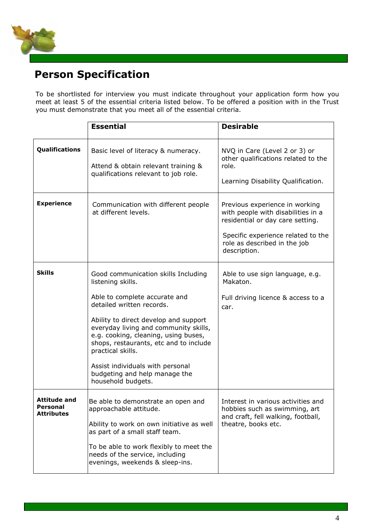

## **Person Specification**

To be shortlisted for interview you must indicate throughout your application form how you meet at least 5 of the essential criteria listed below. To be offered a position with in the Trust you must demonstrate that you meet all of the essential criteria.

|                                                             | <b>Essential</b>                                                                                                                                                                                                                                                                                                                                                                                           | <b>Desirable</b>                                                                                                                                                                               |
|-------------------------------------------------------------|------------------------------------------------------------------------------------------------------------------------------------------------------------------------------------------------------------------------------------------------------------------------------------------------------------------------------------------------------------------------------------------------------------|------------------------------------------------------------------------------------------------------------------------------------------------------------------------------------------------|
| Qualifications                                              | Basic level of literacy & numeracy.<br>Attend & obtain relevant training &<br>qualifications relevant to job role.                                                                                                                                                                                                                                                                                         | NVQ in Care (Level 2 or 3) or<br>other qualifications related to the<br>role.<br>Learning Disability Qualification.                                                                            |
| <b>Experience</b>                                           | Communication with different people<br>at different levels.                                                                                                                                                                                                                                                                                                                                                | Previous experience in working<br>with people with disabilities in a<br>residential or day care setting.<br>Specific experience related to the<br>role as described in the job<br>description. |
| <b>Skills</b>                                               | Good communication skills Including<br>listening skills.<br>Able to complete accurate and<br>detailed written records.<br>Ability to direct develop and support<br>everyday living and community skills,<br>e.g. cooking, cleaning, using buses,<br>shops, restaurants, etc and to include<br>practical skills.<br>Assist individuals with personal<br>budgeting and help manage the<br>household budgets. | Able to use sign language, e.g.<br>Makaton.<br>Full driving licence & access to a<br>car.                                                                                                      |
| <b>Attitude and</b><br><b>Personal</b><br><b>Attributes</b> | Be able to demonstrate an open and<br>approachable attitude.<br>Ability to work on own initiative as well<br>as part of a small staff team.<br>To be able to work flexibly to meet the<br>needs of the service, including<br>evenings, weekends & sleep-ins.                                                                                                                                               | Interest in various activities and<br>hobbies such as swimming, art<br>and craft, fell walking, football,<br>theatre, books etc.                                                               |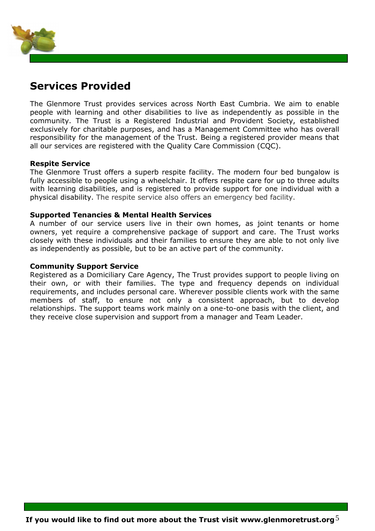

### **Services Provided**

The Glenmore Trust provides services across North East Cumbria. We aim to enable people with learning and other disabilities to live as independently as possible in the community. The Trust is a Registered Industrial and Provident Society, established exclusively for charitable purposes, and has a Management Committee who has overall responsibility for the management of the Trust. Being a registered provider means that all our services are registered with the Quality Care Commission (CQC).

#### **Respite Service**

The Glenmore Trust offers a superb respite facility. The modern four bed bungalow is fully accessible to people using a wheelchair. It offers respite care for up to three adults with learning disabilities, and is registered to provide support for one individual with a physical disability. The respite service also offers an emergency bed facility.

#### **Supported Tenancies & Mental Health Services**

A number of our service users live in their own homes, as joint tenants or home owners, yet require a comprehensive package of support and care. The Trust works closely with these individuals and their families to ensure they are able to not only live as independently as possible, but to be an active part of the community.

#### **Community Support Service**

Registered as a Domiciliary Care Agency, The Trust provides support to people living on their own, or with their families. The type and frequency depends on individual requirements, and includes personal care. Wherever possible clients work with the same members of staff, to ensure not only a consistent approach, but to develop relationships. The support teams work mainly on a one-to-one basis with the client, and they receive close supervision and support from a manager and Team Leader.